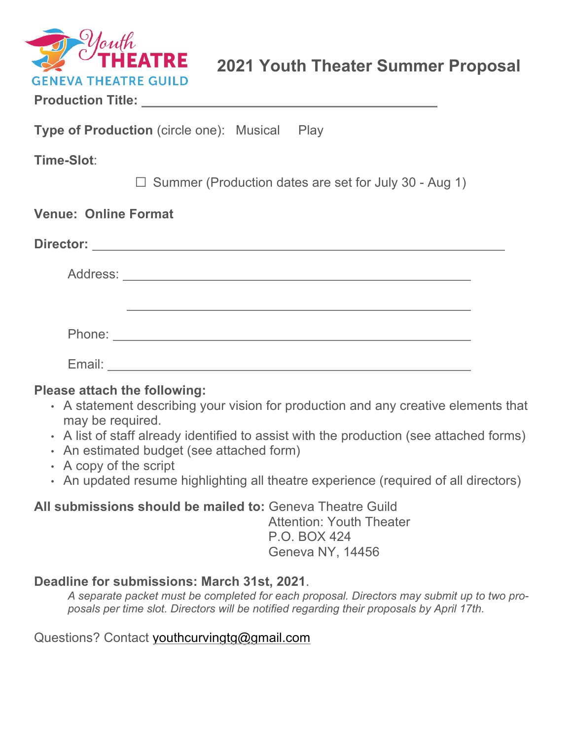

|  |  | <b>Production Title:</b> |
|--|--|--------------------------|
|  |  |                          |

**Type of Production** (circle one): Musical Play

**Time-Slot**:

 $\square$  Summer (Production dates are set for July 30 - Aug 1)

|        | Director: _____________________ |  |
|--------|---------------------------------|--|
|        | Address: No. 1997               |  |
|        |                                 |  |
|        |                                 |  |
|        |                                 |  |
| Email: |                                 |  |

#### **Please attach the following:**

- A statement describing your vision for production and any creative elements that may be required.
- A list of staff already identified to assist with the production (see attached forms)
- An estimated budget (see attached form)
- A copy of the script
- An updated resume highlighting all theatre experience (required of all directors)

**All submissions should be mailed to:** Geneva Theatre Guild Attention: Youth Theater P.O. BOX 424

Geneva NY, 14456

# **Deadline for submissions: March 31st, 2021**.

*A separate packet must be completed for each proposal. Directors may submit up to two proposals per time slot. Directors will be notified regarding their proposals by April 17th.*

Questions? Contact youthcurvingtg@gmail.com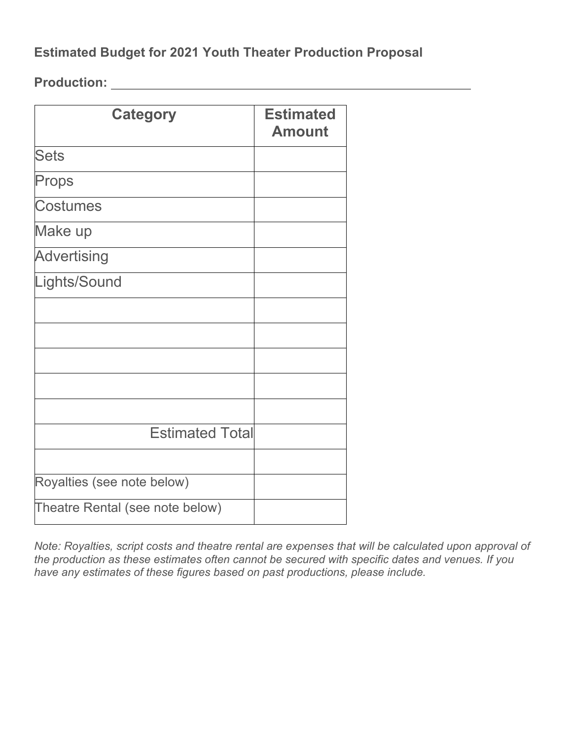# **Estimated Budget for 2021 Youth Theater Production Proposal**

**Production:** 

| <b>Category</b>                 | <b>Estimated</b><br><b>Amount</b> |
|---------------------------------|-----------------------------------|
| <b>Sets</b>                     |                                   |
| Props                           |                                   |
| <b>Costumes</b>                 |                                   |
| Make up                         |                                   |
| <b>Advertising</b>              |                                   |
| Lights/Sound                    |                                   |
|                                 |                                   |
|                                 |                                   |
|                                 |                                   |
|                                 |                                   |
|                                 |                                   |
| <b>Estimated Total</b>          |                                   |
|                                 |                                   |
| Royalties (see note below)      |                                   |
| Theatre Rental (see note below) |                                   |

*Note: Royalties, script costs and theatre rental are expenses that will be calculated upon approval of the production as these estimates often cannot be secured with specific dates and venues. If you have any estimates of these figures based on past productions, please include.*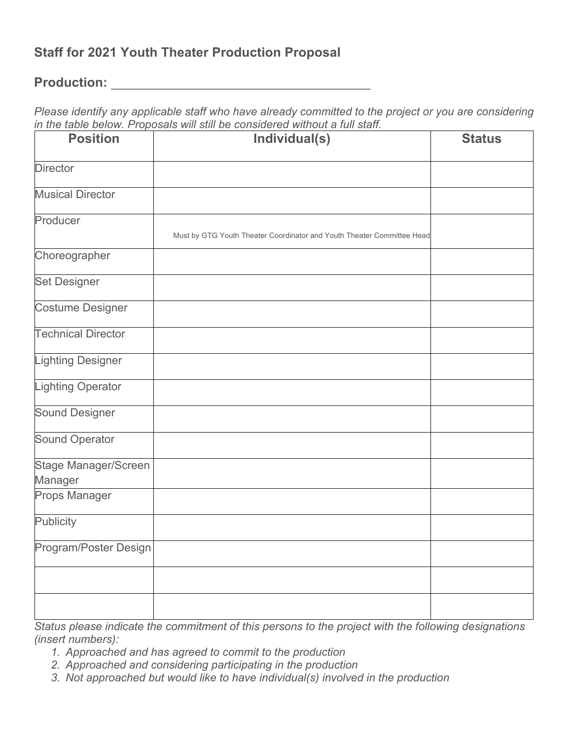# **Staff for 2021 Youth Theater Production Proposal**

#### **Production:**

*Please identify any applicable staff who have already committed to the project or you are considering in the table below. Proposals will still be considered without a full staff.*

| <b>Position</b>                 | $\sim$ 2010 $\mu$ . The possibility of $\mu$ is the set of $\sim$<br>Individual(s) | <b>Status</b> |
|---------------------------------|------------------------------------------------------------------------------------|---------------|
| <b>Director</b>                 |                                                                                    |               |
| <b>Musical Director</b>         |                                                                                    |               |
| Producer                        | Must by GTG Youth Theater Coordinator and Youth Theater Committee Head             |               |
| Choreographer                   |                                                                                    |               |
| <b>Set Designer</b>             |                                                                                    |               |
| <b>Costume Designer</b>         |                                                                                    |               |
| <b>Technical Director</b>       |                                                                                    |               |
| <b>Lighting Designer</b>        |                                                                                    |               |
| <b>Lighting Operator</b>        |                                                                                    |               |
| <b>Sound Designer</b>           |                                                                                    |               |
| <b>Sound Operator</b>           |                                                                                    |               |
| Stage Manager/Screen<br>Manager |                                                                                    |               |
| <b>Props Manager</b>            |                                                                                    |               |
| <b>Publicity</b>                |                                                                                    |               |
| Program/Poster Design           |                                                                                    |               |
|                                 |                                                                                    |               |
|                                 |                                                                                    |               |

*Status please indicate the commitment of this persons to the project with the following designations (insert numbers):*

- *1. Approached and has agreed to commit to the production*
- *2. Approached and considering participating in the production*
- *3. Not approached but would like to have individual(s) involved in the production*